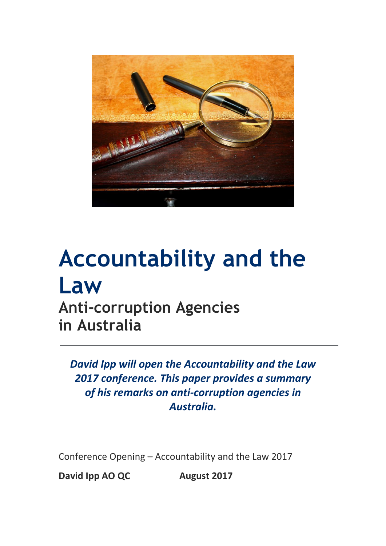

# **Accountability and the Law Anti-corruption Agencies in Australia**

*David Ipp will open the Accountability and the Law 2017 conference. This paper provides a summary of his remarks on anti-corruption agencies in Australia.*

Conference Opening – Accountability and the Law 2017

**David Ipp AO QC August 2017** 

 $\overline{a}$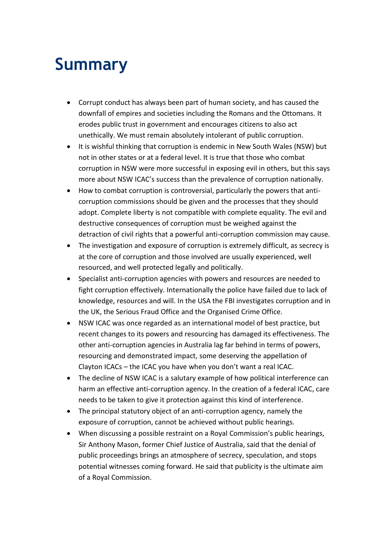### **Summary**

- Corrupt conduct has always been part of human society, and has caused the downfall of empires and societies including the Romans and the Ottomans. It erodes public trust in government and encourages citizens to also act unethically. We must remain absolutely intolerant of public corruption.
- It is wishful thinking that corruption is endemic in New South Wales (NSW) but not in other states or at a federal level. It is true that those who combat corruption in NSW were more successful in exposing evil in others, but this says more about NSW ICAC's success than the prevalence of corruption nationally.
- How to combat corruption is controversial, particularly the powers that anticorruption commissions should be given and the processes that they should adopt. Complete liberty is not compatible with complete equality. The evil and destructive consequences of corruption must be weighed against the detraction of civil rights that a powerful anti-corruption commission may cause.
- The investigation and exposure of corruption is extremely difficult, as secrecy is at the core of corruption and those involved are usually experienced, well resourced, and well protected legally and politically.
- Specialist anti-corruption agencies with powers and resources are needed to fight corruption effectively. Internationally the police have failed due to lack of knowledge, resources and will. In the USA the FBI investigates corruption and in the UK, the Serious Fraud Office and the Organised Crime Office.
- NSW ICAC was once regarded as an international model of best practice, but recent changes to its powers and resourcing has damaged its effectiveness. The other anti-corruption agencies in Australia lag far behind in terms of powers, resourcing and demonstrated impact, some deserving the appellation of Clayton ICACs – the ICAC you have when you don't want a real ICAC.
- The decline of NSW ICAC is a salutary example of how political interference can harm an effective anti-corruption agency. In the creation of a federal ICAC, care needs to be taken to give it protection against this kind of interference.
- The principal statutory object of an anti-corruption agency, namely the exposure of corruption, cannot be achieved without public hearings.
- When discussing a possible restraint on a Royal Commission's public hearings, Sir Anthony Mason, former Chief Justice of Australia, said that the denial of public proceedings brings an atmosphere of secrecy, speculation, and stops potential witnesses coming forward. He said that publicity is the ultimate aim of a Royal Commission.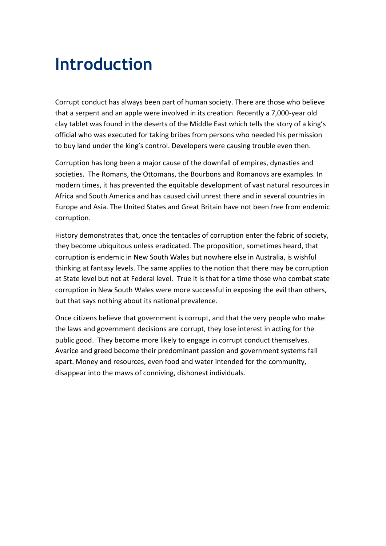### **Introduction**

Corrupt conduct has always been part of human society. There are those who believe that a serpent and an apple were involved in its creation. Recently a 7,000-year old clay tablet was found in the deserts of the Middle East which tells the story of a king's official who was executed for taking bribes from persons who needed his permission to buy land under the king's control. Developers were causing trouble even then.

Corruption has long been a major cause of the downfall of empires, dynasties and societies. The Romans, the Ottomans, the Bourbons and Romanovs are examples. In modern times, it has prevented the equitable development of vast natural resources in Africa and South America and has caused civil unrest there and in several countries in Europe and Asia. The United States and Great Britain have not been free from endemic corruption.

History demonstrates that, once the tentacles of corruption enter the fabric of society, they become ubiquitous unless eradicated. The proposition, sometimes heard, that corruption is endemic in New South Wales but nowhere else in Australia, is wishful thinking at fantasy levels. The same applies to the notion that there may be corruption at State level but not at Federal level. True it is that for a time those who combat state corruption in New South Wales were more successful in exposing the evil than others, but that says nothing about its national prevalence.

Once citizens believe that government is corrupt, and that the very people who make the laws and government decisions are corrupt, they lose interest in acting for the public good. They become more likely to engage in corrupt conduct themselves. Avarice and greed become their predominant passion and government systems fall apart. Money and resources, even food and water intended for the community, disappear into the maws of conniving, dishonest individuals.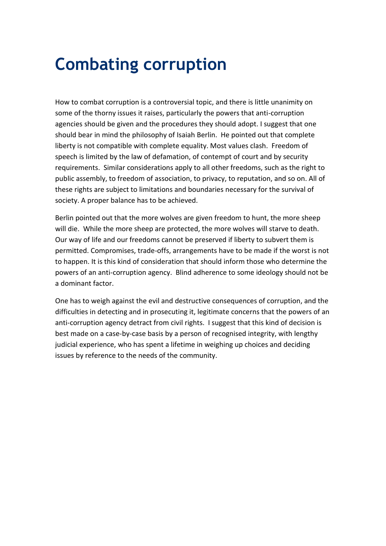### **Combating corruption**

How to combat corruption is a controversial topic, and there is little unanimity on some of the thorny issues it raises, particularly the powers that anti-corruption agencies should be given and the procedures they should adopt. I suggest that one should bear in mind the philosophy of Isaiah Berlin. He pointed out that complete liberty is not compatible with complete equality. Most values clash. Freedom of speech is limited by the law of defamation, of contempt of court and by security requirements. Similar considerations apply to all other freedoms, such as the right to public assembly, to freedom of association, to privacy, to reputation, and so on. All of these rights are subject to limitations and boundaries necessary for the survival of society. A proper balance has to be achieved.

Berlin pointed out that the more wolves are given freedom to hunt, the more sheep will die. While the more sheep are protected, the more wolves will starve to death. Our way of life and our freedoms cannot be preserved if liberty to subvert them is permitted. Compromises, trade-offs, arrangements have to be made if the worst is not to happen. It is this kind of consideration that should inform those who determine the powers of an anti-corruption agency. Blind adherence to some ideology should not be a dominant factor.

One has to weigh against the evil and destructive consequences of corruption, and the difficulties in detecting and in prosecuting it, legitimate concerns that the powers of an anti-corruption agency detract from civil rights. I suggest that this kind of decision is best made on a case-by-case basis by a person of recognised integrity, with lengthy judicial experience, who has spent a lifetime in weighing up choices and deciding issues by reference to the needs of the community.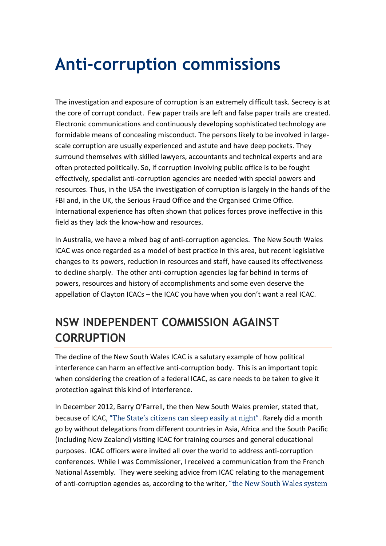### **Anti-corruption commissions**

The investigation and exposure of corruption is an extremely difficult task. Secrecy is at the core of corrupt conduct. Few paper trails are left and false paper trails are created. Electronic communications and continuously developing sophisticated technology are formidable means of concealing misconduct. The persons likely to be involved in largescale corruption are usually experienced and astute and have deep pockets. They surround themselves with skilled lawyers, accountants and technical experts and are often protected politically. So, if corruption involving public office is to be fought effectively, specialist anti-corruption agencies are needed with special powers and resources. Thus, in the USA the investigation of corruption is largely in the hands of the FBI and, in the UK, the Serious Fraud Office and the Organised Crime Office. International experience has often shown that polices forces prove ineffective in this field as they lack the know-how and resources.

In Australia, we have a mixed bag of anti-corruption agencies. The New South Wales ICAC was once regarded as a model of best practice in this area, but recent legislative changes to its powers, reduction in resources and staff, have caused its effectiveness to decline sharply. The other anti-corruption agencies lag far behind in terms of powers, resources and history of accomplishments and some even deserve the appellation of Clayton ICACs – the ICAC you have when you don't want a real ICAC.

#### **NSW INDEPENDENT COMMISSION AGAINST CORRUPTION**

The decline of the New South Wales ICAC is a salutary example of how political interference can harm an effective anti-corruption body. This is an important topic when considering the creation of a federal ICAC, as care needs to be taken to give it protection against this kind of interference.

In December 2012, Barry O'Farrell, the then New South Wales premier, stated that, because of ICAC, "The State's citizens can sleep easily at night". Rarely did a month go by without delegations from different countries in Asia, Africa and the South Pacific (including New Zealand) visiting ICAC for training courses and general educational purposes. ICAC officers were invited all over the world to address anti-corruption conferences. While I was Commissioner, I received a communication from the French National Assembly. They were seeking advice from ICAC relating to the management of anti-corruption agencies as, according to the writer, "the New South Wales system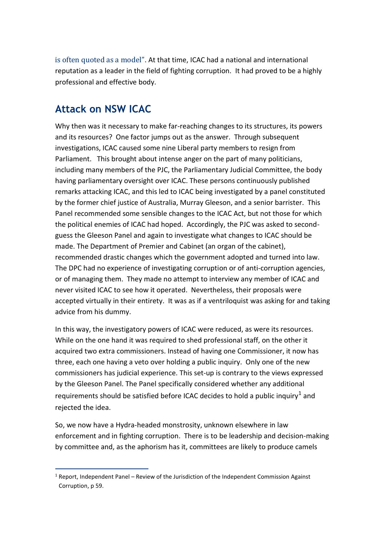is often quoted as a model". At that time, ICAC had a national and international reputation as a leader in the field of fighting corruption. It had proved to be a highly professional and effective body.

#### **Attack on NSW ICAC**

1

Why then was it necessary to make far-reaching changes to its structures, its powers and its resources? One factor jumps out as the answer. Through subsequent investigations, ICAC caused some nine Liberal party members to resign from Parliament. This brought about intense anger on the part of many politicians, including many members of the PJC, the Parliamentary Judicial Committee, the body having parliamentary oversight over ICAC. These persons continuously published remarks attacking ICAC, and this led to ICAC being investigated by a panel constituted by the former chief justice of Australia, Murray Gleeson, and a senior barrister. This Panel recommended some sensible changes to the ICAC Act, but not those for which the political enemies of ICAC had hoped. Accordingly, the PJC was asked to secondguess the Gleeson Panel and again to investigate what changes to ICAC should be made. The Department of Premier and Cabinet (an organ of the cabinet), recommended drastic changes which the government adopted and turned into law. The DPC had no experience of investigating corruption or of anti-corruption agencies, or of managing them. They made no attempt to interview any member of ICAC and never visited ICAC to see how it operated. Nevertheless, their proposals were accepted virtually in their entirety. It was as if a ventriloquist was asking for and taking advice from his dummy.

In this way, the investigatory powers of ICAC were reduced, as were its resources. While on the one hand it was required to shed professional staff, on the other it acquired two extra commissioners. Instead of having one Commissioner, it now has three, each one having a veto over holding a public inquiry. Only one of the new commissioners has judicial experience. This set-up is contrary to the views expressed by the Gleeson Panel. The Panel specifically considered whether any additional requirements should be satisfied before ICAC decides to hold a public inquiry<sup>1</sup> and rejected the idea.

So, we now have a Hydra-headed monstrosity, unknown elsewhere in law enforcement and in fighting corruption. There is to be leadership and decision-making by committee and, as the aphorism has it, committees are likely to produce camels

<sup>&</sup>lt;sup>1</sup> Report, Independent Panel – Review of the Jurisdiction of the Independent Commission Against Corruption, p 59.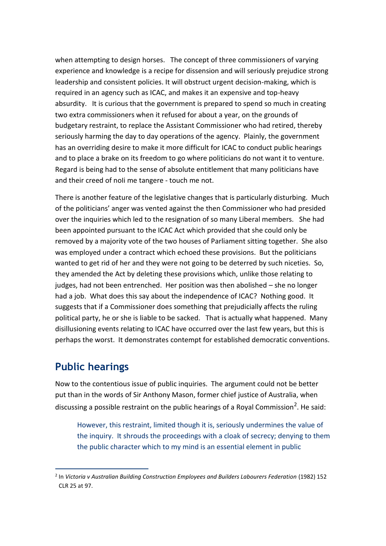when attempting to design horses. The concept of three commissioners of varying experience and knowledge is a recipe for dissension and will seriously prejudice strong leadership and consistent policies. It will obstruct urgent decision-making, which is required in an agency such as ICAC, and makes it an expensive and top-heavy absurdity. It is curious that the government is prepared to spend so much in creating two extra commissioners when it refused for about a year, on the grounds of budgetary restraint, to replace the Assistant Commissioner who had retired, thereby seriously harming the day to day operations of the agency. Plainly, the government has an overriding desire to make it more difficult for ICAC to conduct public hearings and to place a brake on its freedom to go where politicians do not want it to venture. Regard is being had to the sense of absolute entitlement that many politicians have and their creed of noli me tangere - touch me not.

There is another feature of the legislative changes that is particularly disturbing. Much of the politicians' anger was vented against the then Commissioner who had presided over the inquiries which led to the resignation of so many Liberal members. She had been appointed pursuant to the ICAC Act which provided that she could only be removed by a majority vote of the two houses of Parliament sitting together. She also was employed under a contract which echoed these provisions. But the politicians wanted to get rid of her and they were not going to be deterred by such niceties. So, they amended the Act by deleting these provisions which, unlike those relating to judges, had not been entrenched. Her position was then abolished – she no longer had a job. What does this say about the independence of ICAC? Nothing good. It suggests that if a Commissioner does something that prejudicially affects the ruling political party, he or she is liable to be sacked. That is actually what happened. Many disillusioning events relating to ICAC have occurred over the last few years, but this is perhaps the worst. It demonstrates contempt for established democratic conventions.

#### **Public hearings**

1

Now to the contentious issue of public inquiries. The argument could not be better put than in the words of Sir Anthony Mason, former chief justice of Australia, when discussing a possible restraint on the public hearings of a Royal Commission<sup>2</sup>. He said:

However, this restraint, limited though it is, seriously undermines the value of the inquiry. It shrouds the proceedings with a cloak of secrecy; denying to them the public character which to my mind is an essential element in public

<sup>&</sup>lt;sup>2</sup> In Victoria v Australian Building Construction Employees and Builders Labourers Federation (1982) 152 CLR 25 at 97.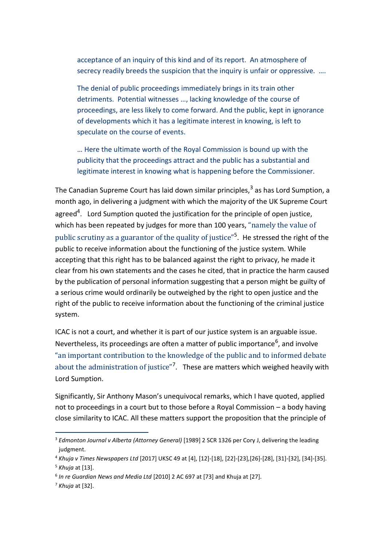acceptance of an inquiry of this kind and of its report. An atmosphere of secrecy readily breeds the suspicion that the inquiry is unfair or oppressive. ....

The denial of public proceedings immediately brings in its train other detriments. Potential witnesses …, lacking knowledge of the course of proceedings, are less likely to come forward. And the public, kept in ignorance of developments which it has a legitimate interest in knowing, is left to speculate on the course of events.

… Here the ultimate worth of the Royal Commission is bound up with the publicity that the proceedings attract and the public has a substantial and legitimate interest in knowing what is happening before the Commissioner.

The Canadian Supreme Court has laid down similar principles, $^3$  as has Lord Sumption, a month ago, in delivering a judgment with which the majority of the UK Supreme Court agreed<sup>4</sup>. Lord Sumption quoted the justification for the principle of open justice, which has been repeated by judges for more than 100 years, "namely the value of public scrutiny as a guarantor of the quality of justice"<sup>5</sup>. He stressed the right of the public to receive information about the functioning of the justice system. While accepting that this right has to be balanced against the right to privacy, he made it clear from his own statements and the cases he cited, that in practice the harm caused by the publication of personal information suggesting that a person might be guilty of a serious crime would ordinarily be outweighed by the right to open justice and the right of the public to receive information about the functioning of the criminal justice system.

ICAC is not a court, and whether it is part of our justice system is an arguable issue. Nevertheless, its proceedings are often a matter of public importance<sup>6</sup>, and involve "an important contribution to the knowledge of the public and to informed debate about the administration of justice"<sup>7</sup>. These are matters which weighed heavily with Lord Sumption.

Significantly, Sir Anthony Mason's unequivocal remarks, which I have quoted, applied not to proceedings in a court but to those before a Royal Commission – a body having close similarity to ICAC. All these matters support the proposition that the principle of

1

<sup>3</sup> *Edmonton Journal v Alberta (Attorney General)* [1989] 2 SCR 1326 per Cory J, delivering the leading judgment.

<sup>4</sup> *Khuja v Times Newspapers Ltd* [2017] UKSC 49 at [4], [12]-[18], [22]-[23],[26]-[28], [31]-[32], [34]-[35]. <sup>5</sup> *Khuja* at [13].

<sup>6</sup> *In re Guardian News and Media Ltd* [2010] 2 AC 697 at [73] and Khuja at [27].

<sup>7</sup> *Khuja* at [32].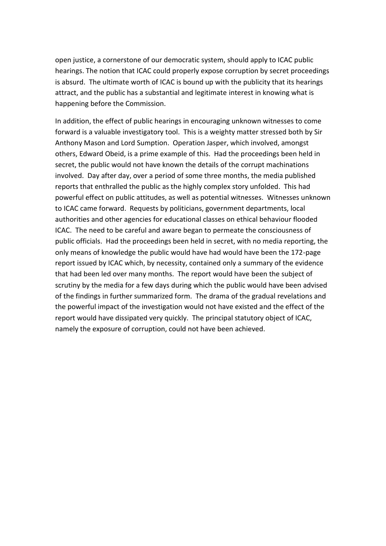open justice, a cornerstone of our democratic system, should apply to ICAC public hearings. The notion that ICAC could properly expose corruption by secret proceedings is absurd. The ultimate worth of ICAC is bound up with the publicity that its hearings attract, and the public has a substantial and legitimate interest in knowing what is happening before the Commission.

In addition, the effect of public hearings in encouraging unknown witnesses to come forward is a valuable investigatory tool. This is a weighty matter stressed both by Sir Anthony Mason and Lord Sumption. Operation Jasper, which involved, amongst others, Edward Obeid, is a prime example of this. Had the proceedings been held in secret, the public would not have known the details of the corrupt machinations involved. Day after day, over a period of some three months, the media published reports that enthralled the public as the highly complex story unfolded. This had powerful effect on public attitudes, as well as potential witnesses. Witnesses unknown to ICAC came forward. Requests by politicians, government departments, local authorities and other agencies for educational classes on ethical behaviour flooded ICAC. The need to be careful and aware began to permeate the consciousness of public officials. Had the proceedings been held in secret, with no media reporting, the only means of knowledge the public would have had would have been the 172-page report issued by ICAC which, by necessity, contained only a summary of the evidence that had been led over many months. The report would have been the subject of scrutiny by the media for a few days during which the public would have been advised of the findings in further summarized form. The drama of the gradual revelations and the powerful impact of the investigation would not have existed and the effect of the report would have dissipated very quickly. The principal statutory object of ICAC, namely the exposure of corruption, could not have been achieved.